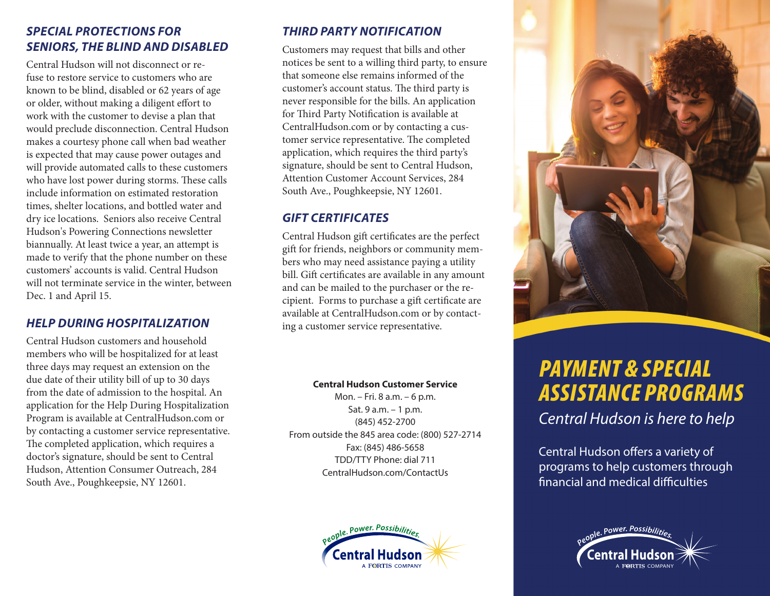#### *SPECIAL PROTECTIONS FOR SENIORS, THE BLIND AND DISABLED*

Central Hudson will not disconnect or refuse to restore service to customers who are known to be blind, disabled or 62 years of age or older, without making a diligent effort to work with the customer to devise a plan that would preclude disconnection. Central Hudson makes a courtesy phone call when bad weather is expected that may cause power outages and will provide automated calls to these customers who have lost power during storms. These calls include information on estimated restoration times, shelter locations, and bottled water and dry ice locations. Seniors also receive Central Hudson's Powering Connections newsletter biannually. At least twice a year, an attempt is made to verify that the phone number on these customers' accounts is valid. Central Hudson will not terminate service in the winter, between Dec. 1 and April 15.

#### *HELP DURING HOSPITALIZATION*

Central Hudson customers and household members who will be hospitalized for at least three days may request an extension on the due date of their utility bill of up to 30 days from the date of admission to the hospital. An application for the Help During Hospitalization Program is available at CentralHudson.com or by contacting a customer service representative. The completed application, which requires a doctor's signature, should be sent to Central Hudson, Attention Consumer Outreach, 284 South Ave., Poughkeepsie, NY 12601.

#### *THIRD PARTY NOTIFICATION*

Customers may request that bills and other notices be sent to a willing third party, to ensure that someone else remains informed of the customer's account status. The third party is never responsible for the bills. An application for Third Party Notification is available at CentralHudson.com or by contacting a customer service representative. The completed application, which requires the third party's signature, should be sent to Central Hudson, Attention Customer Account Services, 284 South Ave., Poughkeepsie, NY 12601.

#### *GIFT CERTIFICATES*

Central Hudson gift certificates are the perfect gift for friends, neighbors or community members who may need assistance paying a utility bill. Gift certificates are available in any amount and can be mailed to the purchaser or the recipient. Forms to purchase a gift certificate are available at CentralHudson.com or by contacting a customer service representative.

#### **Central Hudson Customer Service**

Mon. – Fri. 8 a.m. – 6 p.m. Sat. 9 a.m. – 1 p.m. (845) 452-2700 From outside the 845 area code: (800) 527-2714 Fax: (845) 486-5658 TDD/TTY Phone: dial 711 CentralHudson.com/ContactUs





# *PAYMENT & SPECIAL ASSISTANCE PROGRAMS*

*Central Hudson is here to help*

Central Hudson offers a variety of programs to help customers through financial and medical difficulties